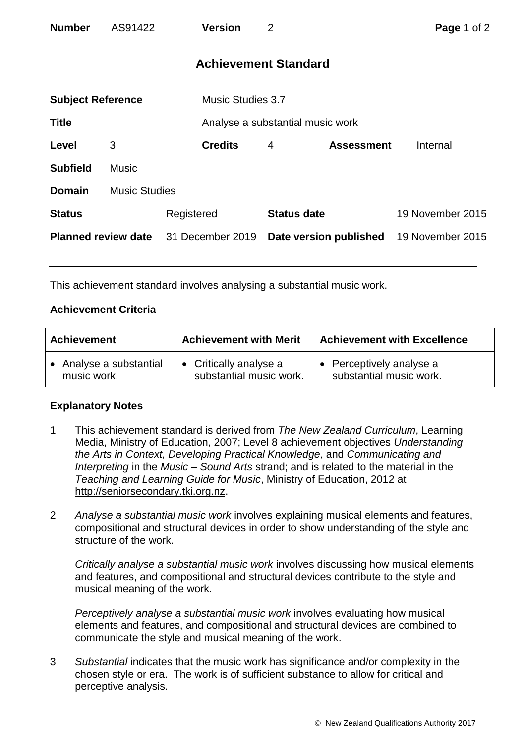| <b>Number</b>              | AS91422      | <b>Version</b>       | $\overline{2}$                   |                        | Page 1 of 2      |  |
|----------------------------|--------------|----------------------|----------------------------------|------------------------|------------------|--|
|                            |              |                      | <b>Achievement Standard</b>      |                        |                  |  |
| <b>Subject Reference</b>   |              |                      | <b>Music Studies 3.7</b>         |                        |                  |  |
| <b>Title</b>               |              |                      | Analyse a substantial music work |                        |                  |  |
| Level                      | 3            | <b>Credits</b>       | 4                                | <b>Assessment</b>      | Internal         |  |
| <b>Subfield</b>            | <b>Music</b> |                      |                                  |                        |                  |  |
| <b>Domain</b>              |              | <b>Music Studies</b> |                                  |                        |                  |  |
| <b>Status</b>              |              | Registered           | <b>Status date</b>               |                        | 19 November 2015 |  |
| <b>Planned review date</b> |              | 31 December 2019     |                                  | Date version published | 19 November 2015 |  |

This achievement standard involves analysing a substantial music work.

## **Achievement Criteria**

| <b>Achievement</b>      | <b>Achievement with Merit</b>  | <b>Achievement with Excellence</b> |  |
|-------------------------|--------------------------------|------------------------------------|--|
| • Analyse a substantial | $\bullet$ Critically analyse a | • Perceptively analyse a           |  |
| music work.             | substantial music work.        | substantial music work.            |  |

## **Explanatory Notes**

- 1 This achievement standard is derived from *The New Zealand Curriculum*, Learning Media, Ministry of Education, 2007; Level 8 achievement objectives *Understanding the Arts in Context, Developing Practical Knowledge*, and *Communicating and Interpreting* in the *Music – Sound Arts* strand; and is related to the material in the *Teaching and Learning Guide for Music*, Ministry of Education, 2012 at [http://seniorsecondary.tki.org.nz.](http://seniorsecondary.tki.org.nz/)
- 2 *Analyse a substantial music work* involves explaining musical elements and features, compositional and structural devices in order to show understanding of the style and structure of the work.

*Critically analyse a substantial music work* involves discussing how musical elements and features, and compositional and structural devices contribute to the style and musical meaning of the work.

*Perceptively analyse a substantial music work* involves evaluating how musical elements and features, and compositional and structural devices are combined to communicate the style and musical meaning of the work.

3 *Substantial* indicates that the music work has significance and/or complexity in the chosen style or era. The work is of sufficient substance to allow for critical and perceptive analysis.